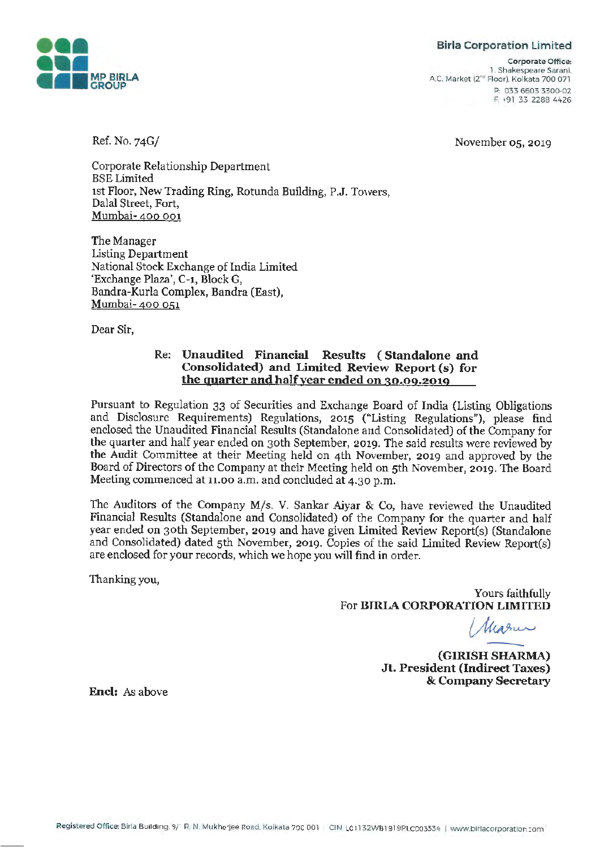**Birla Corporation Limited** 



**Corporate Office:**  1. Shakespeare Sarani. A.C. Market (2<sup>nd</sup> Floor). Kolkata 700 071 P: 033 6603 3300-02 F: +91 33 2288 4426

November 05, 2019

Ref. No. 74G/

Corporate Relationship Department BSE Limited 1st Floor, New Trading Ring, Rotunda Building, P.J. Towers, Dalal Street, Fort, Mumbai- 400 001

The Manager Listing Department National Stock Exchange of India Limited 'Exchange Plaza', C-1, Block G, Bandra-Kurla Complex, Bandra (East), Mumbai- 400 051

Dear Sir,

## Re: **Unaudited Financial Results** ( **Standalone and Consolidated) and Limited Review Report (s) for the quarter and half year ended on 30.09.2019**

Pursuant to Regulation 33 of Securities and Exchange Board of India (Listing Obligations and Disclosure Requirements) Regulations, 2015 ("Listing Regulations"), please find enclosed the Unaudited Financial Results (Standalone and Consolidated) of the Company for the quarter and half year ended on 30th September, 2019. The said results were reviewed by the Audit Committee at their Meeting held on 4th November, 2019 and approved by the Board of Directors of the Company at their Meeting held on 5th November, 2019. The Board Meeting commenced at 11.00 a.m. and concluded at 4.30 p.m.

The Auditors of the Company M/s. V. Sankar Aiyar & Co, have reviewed the Unaudited Financial Results (Standalone and Consolidated) of the Company for the quarter and half year ended on 30th September, 2019 and have given Limited Review Report(s) (Standalone and Consolidated) dated 5th November, 2019. Copies of the said Limited Review Report(s) are enclosed for your records, which we hope you will find in order.

Thanking you,

Yours faithfully For **BlRIA CORPORATION LIMITED** 

**(GIRISH SHARMA)** 

**Jt. President (Indirect Taxes)**  & **Company Secretary** 

**Encl:** As above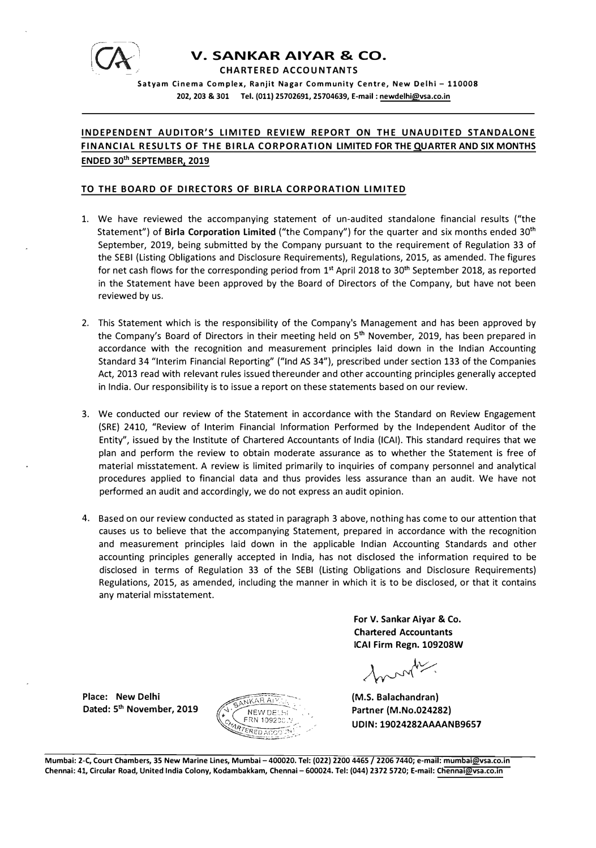

# **V. SANKAR AIYAR & CO.**

**CHARTERED ACCOUNTANTS** 

**Satyam Cinema Complex, Ranjit Naga r Community Centre, New Deihl - 110008 202, 203 & 301 Tel. (011) 25702691, 2S704639, E-mail : newdelhi@vsa.co.ln** 

# **INDEPENDENT AUDITOR'S LIMITED REVIEW REPORT ON THE UNAUDITED STANDALONE FINANCIAL RESULTS OF THE BIRLA CORPORATION LIMITED FOR THE QUARTER AND SIX MONTHS ENDED 30th SEPTEMBER, 2019**

### **TO THE BOARD OF DIRECTORS OF BIRLA CORPORATION LIMITED**

- 1. We have reviewed the accompanying statement of un-audited standalone financial results ("the Statement") of **Birla Corporation Limited** ("the Company") for the quarter and six months ended 30th September, 2019, being submitted by the Company pursuant to the requirement of Regulation 33 of the SEBI (Listing Obligations and Disclosure Requirements), Regulations, 2015, as amended. The figures for net cash flows for the corresponding period from 1<sup>st</sup> April 2018 to 30<sup>th</sup> September 2018, as reported in the Statement have been approved by the Board of Directors of the Company, but have not been reviewed by us.
- 2. This Statement which is the responsibility of the Company's Management and has been approved by the Company's Board of Directors in their meeting held on 5<sup>th</sup> November, 2019, has been prepared in accordance with the recognition and measurement principles laid down in the Indian Accounting Standard 34 "Interim Financial Reporting" ("Ind AS 34"), prescribed under section 133 of the Companies Act, 2013 read with relevant rules issued thereunder and other accounting principles generally accepted in India. Our responsibility is to issue a report on these statements based on our review.
- 3. We conducted our review of the Statement in accordance with the Standard on Review Engagement (SRE) 2410, "Review of Interim Financial Information Performed by the Independent Auditor of the Entity", issued by the Institute of Chartered Accountants of India (ICAI). This standard requires that we plan and perform the review to obtain moderate assurance as to whether the Statement is free of material misstatement. A review is limited primarily to inquiries of company personnel and analytical procedures applied to financial data and thus provides less assurance than an audit. We have not performed an audit and accordingly, we do not express an audit opinion.
- 4. Based on our review conducted as stated in paragraph 3 above, nothing has come to our attention that causes us to believe that the accompanying Statement, prepared in accordance with the recognition and measurement principles laid down in the applicable Indian Accounting Standards and other accounting principles generally accepted in India, has not disclosed the information required to be disclosed in terms of Regulation 33 of the SEBI (Listing Obligations and Disclosure Requirements) Regulations, 2015, as amended, including the manner in which it is to be disclosed, or that it contains any material misstatement.

**For V. Sankar Aiyar & Co. Chartered Accountants ICAI Firm Regn. 109208W** 

months

(M.S. Balachandran) Partner (M.No.024282) UDIN: 19024282AAAANB9657

Place: New Delhi Dated: 5<sup>th</sup> November, 2019



**Mumbai: 2-C, Court Chambers, 35 New Marine Lines, Mumbai - 400020. Tel: (022) 2200 4465 / 2206 7440; e-mail: mumbai@vsa.co.in**<br>Mumbai: 2-C, Court Chambers, 35 New Marine Lines, Mumbai - 400020. Tel: (022) 2200 4465 / 2206 **Chennai: 41, Circular Road, United India Colony, Kodambakkam, Chennai -600024. Tel: (044) 2372 S720; E-mail: Chennai@vsa.co.ln**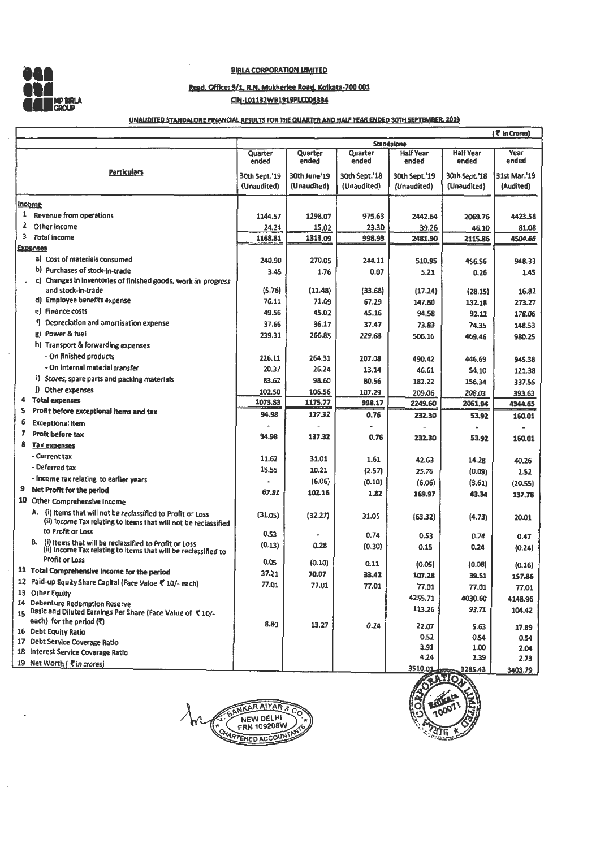

 $\ddot{\phantom{a}}$ 

### **BIRLA CORPORATION LIMITED**

### **Regd. Office: 9/1, R.N. Mukheriee Road. Kolkata-700 001 C1N•lD1132WB1919PLC003334**

### UNAUDITED STANDALONE FINANOAL RESULTS FOR THE QUARTER AND HALF YEAR ENDED 30TH SEPTEMBER. 2019

|   |                                                                                                                                 |                  |                  |                  |                           |                           | {₹ In Crores) |
|---|---------------------------------------------------------------------------------------------------------------------------------|------------------|------------------|------------------|---------------------------|---------------------------|---------------|
|   |                                                                                                                                 |                  |                  |                  | <b>Standalone</b>         |                           |               |
|   |                                                                                                                                 | Quarter<br>ended | Quarter<br>ended | Quarter<br>ended | <b>Half Year</b><br>ended | <b>Half Year</b><br>ended | Year<br>ended |
|   | <u>Particulars</u>                                                                                                              | 30th Sept.'19    | 30th June'19     | 30th Sept.'18    | 30th Sept.'19             | 30th Sept.'18             | 31st Mar.'19  |
|   |                                                                                                                                 | (Unaudited)      | (Unaudited)      | (Unaudited)      | (Unaudited)               | (Unaudited)               | (Audited)     |
|   | <u>Income</u>                                                                                                                   |                  |                  |                  |                           |                           |               |
| 1 | Revenue from operations                                                                                                         | 1144.57          | 1298.07          | 975.63           | 2442.64                   | 2069.76                   | 4423.58       |
| 2 | Other income                                                                                                                    | 24.24            | 15.02            | 23.30            | 39.26                     | 46.10                     | 81.08         |
| 3 | <b>Total income</b>                                                                                                             | 1168.81          | 1313.09          | 998.93           | 2481.90                   | 2115.86                   | 4504.66       |
|   | <b>Expenses</b>                                                                                                                 |                  |                  |                  |                           |                           |               |
|   | a) Cost of materials consumed                                                                                                   | 240.90           | 270.05           | 244.11           | 510.95                    | 456.56                    | 948.33        |
|   | b) Purchases of stock-in-trade                                                                                                  | 3.45             | 1.76             | 0.07             | 5.21                      | 0.26                      | 1.45          |
|   | c) Changes in inventories of finished goods, work-in-progress                                                                   |                  |                  |                  |                           |                           |               |
|   | and stock-in-trade                                                                                                              | (5.76)           | (11.48)          | (33.68)          | (17.24)                   | (28.15)                   | 16.82         |
|   | d) Employee benefits expense                                                                                                    | 76.11            | 71.69            | 67.29            | 147.80                    | 132.18                    | 273.27        |
|   | e) Finance costs                                                                                                                | 49.56            | 45.02            | 45.16            | 94.58                     | 92.12                     | 178.06        |
|   | f) Depreciation and amortisation expense                                                                                        | 37.66            | 36.17            | 37.47            | 73.83                     | 74.35                     | 148.53        |
|   | g) Power & fuel                                                                                                                 | 239.31           | 266.85           | 229.68           | 506.16                    | 469.46                    | 980.25        |
|   | h) Transport & forwarding expenses                                                                                              |                  |                  |                  |                           |                           |               |
|   | - On finished products                                                                                                          | 226.11           | 264.31           | 207.08           | 490.42                    |                           |               |
|   | - On internal material transfer                                                                                                 | 20.37            | 26.24            |                  |                           | 446.69                    | 945.38        |
|   | i) Stores, spare parts and packing materials                                                                                    |                  |                  | 13.14            | 46.61                     | 54.10                     | 121.38        |
|   | j) Other expenses                                                                                                               | 83.62            | 98.60            | 80.56            | 182.22                    | 156.34                    | 337.55        |
| 4 | Total expenses                                                                                                                  | 102.50           | 106.56           | 107.29           | 209.06                    | 208.03                    | 393.63        |
| s | Profit before exceptional items and tax                                                                                         | 1073.83          | 1175.77          | 998.17           | 2249.60                   | 2061.94                   | 4344.65       |
| 6 | <b>Exceptional item</b>                                                                                                         | 94.98            | 137.32           | 0.76             | 232.30                    | 53.92                     | 160.01        |
| 7 | Proft before tax                                                                                                                |                  |                  |                  |                           |                           |               |
| 8 |                                                                                                                                 | 94.98            | 137.32           | 0.76             | 232.30                    | 53.92                     | 160.01        |
|   | <b>Tax expenses</b><br>- Current tax                                                                                            |                  |                  |                  |                           |                           |               |
|   |                                                                                                                                 | 11.62            | 31.01            | 1.61             | 42.63                     | 14.28                     | 40.26         |
|   | - Deferred tax                                                                                                                  | 15.55            | 10.21            | (2.57)           | 25.76                     | (0.09)                    | 2.52          |
|   | - Income tax relating to earlier years                                                                                          |                  | (6.06)           | (0.10)           | (6.06)                    | (3.61)                    | (20.55)       |
| 9 | Net Profit for the period                                                                                                       | 67.81            | 102.16           | 1.82             | 169.97                    | 43.34                     | 137,78        |
|   | 10 Other Comprehensive Income                                                                                                   |                  |                  |                  |                           |                           |               |
|   | A. {i} Items that will not be reclassified to Profit or Loss<br>(ii) Income Tax relating to items that will not be reclassified | (31.05)          | (32.27)          | 31.05            | (63.32)                   | (4.73)                    | 20.01         |
|   | to Profit or Loss                                                                                                               | 0.53             |                  | 0.74             | 0.53                      | 0.74                      | 0.47          |
|   | B. (i) Items that will be reclassified to Profit or Loss<br>(ii) Income Tax relating to Items that will be reclassified to      | (0.13)           | 0.28             | (0.30)           | 0.15                      | 0.24                      | (0.24)        |
|   | <b>Profit or Loss</b>                                                                                                           | 0.05             | (0.10)           | 0.11             | (0.05)                    | (0.08)                    | (0.16)        |
|   | 11 Total Comprehensive income for the period                                                                                    | 37.21            | 70.07            | 33.42            | 107.28                    | 39.51                     | 157.86        |
|   | 12 Paid-up Equity Share Capital (Face Value ₹ 10/- each)                                                                        | 77.01            | 77.01            | 77.01            | 77.01                     | 77.01                     | 77.01         |
|   | 13 Other Equity                                                                                                                 |                  |                  |                  | 4255.71                   | 4030.60                   | 4148.96       |
|   | 14 Debenture Redemption Reserve<br>15 Basic and Diluted Earnings Per Share (Face Value of ₹10/-                                 |                  |                  |                  | 113.26                    | 93.71                     | 104.42        |
|   | each) for the period (₹)                                                                                                        | 8.80             | 13.27            | 0.24             | 22.07                     | 5.63                      | 17.89         |
|   | 16 Debt Equity Ratio                                                                                                            |                  |                  |                  | 0.52                      | 0.54                      | 0.54          |
|   | 17 Debt Service Coverage Ratio<br>18 Interest Service Coverage Ratio                                                            |                  |                  |                  | 3.91                      | 1.00                      | 2.04          |
|   | 19 Net Worth (₹in crores)                                                                                                       |                  |                  |                  | 4.24                      | 2.39                      | 2.73          |
|   |                                                                                                                                 |                  |                  |                  | 3510.01                   | 3285.43                   | 3403.79       |



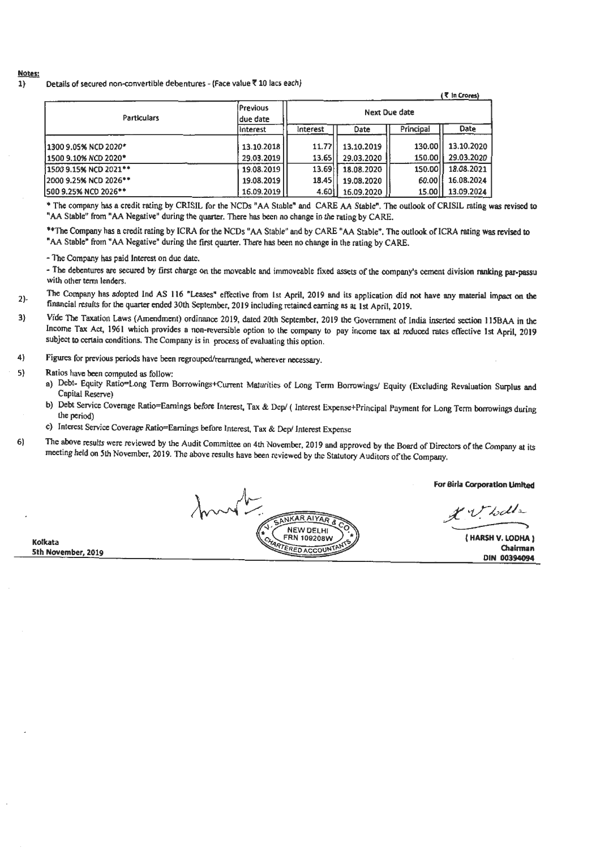#### **Notes:**

1} Details of secured non-convertible debentures - (Face value ₹ 10 lacs each)

|                       |                      |          |            |               | $($ $\overline{S}$ in Crores) |
|-----------------------|----------------------|----------|------------|---------------|-------------------------------|
| <b>Particulars</b>    | Previous<br>due date |          |            | Next Due date |                               |
|                       | Interest             | Interest | Date       | Principal     | Date                          |
| 1300 9.05% NCD 2020*  | 13.10.2018           | 11.77    | 13.10.2019 | 130.00        | 13.10.2020                    |
| 1500 9.10% NCD 2020*  | 29.03.2019           | 13.65    | 29.03.2020 | 150.00        | 29.03.2020                    |
| 1500 9.15% NCD 2021** | 19.08.2019           | 13.69    | 18.08.2020 | 150.00        | 18.08.2021                    |
| 2000 9.25% NCD 2026** | 19.08.2019           | 18.45    | 19.08.2020 | 60.00         | 16.08.2024                    |
| 500 9.25% NCD 2026**  | 16.09.2019           | 4.60     | 16.09.2020 | 15.00         | 13.09.2024                    |

• The company has a credit rating by CRISIL for the NCDs "AA Stuble" and CARE AA Stable". The ouilook of CRISIL rating was revised to "AA Stable" from "AA Negative" during the quarter. There has been no change in the rating by CARE.

\*\* The Company has a credit rating by ICRA for the NCDs "AA Stable" and by CARE "AA Stable". The outlook of ICRA rating was revised to "AA Stable" from "AA Negative" during the first quarter. There has been no change in the rating by CARE.

- The Company has paid Interest on due date.

- The debentures are secured by first charge on the moveable and immoveable fixed assets of the company's cement division ranking par-passu with other term lenders.

2)- The Company hes adopted Ind AS 116 "Leases" effective from 1st April, 2019 and its application did **not have** any material impact on **the**  financial results for the quarter ended 30th September, 2019 including retained earning es at 1st April, 2019.

- 3) Vide The Taxation Laws (Amendment) ordinance 2019, dated 20th September, 2019 the Government of India inserted section 115BAA in the Income Tax Act, 1961 which provides a non-reversible option to the company to pay income tax at reduced rates effective 1st April, 2019 subject to certain conditions. The Company is in process of evaluating this option.
- 4) Figures for previous periods have been regrouped/rearranged, wherever necessary.

5) Ratios have been computed as follow:

**Kolkata** 

**5th November, 2019** 

- a) Debt- Equity Ratio=Long Term Borrowings+Current Maturities of Long Term Borrowings/ Equity (Excluding Revaluation Surplus and Capital Reserve)
- b) Debt Service Coverage Ratio=Eamings before Interest, Tax & Dep/ ( Interest Expense+Principal Payment for Long Tenn borrowings during the period) *the period*
- c) Interest Service Coverage Ratio=Earnings before Interest, Tax & Dep/ Interest Expense
- 6) The above results were reviewed by the Audit Committee on 4th November, 2019 and approved by the Board of Directors of the Company at its meeting held on 5th November, 2019. The above results have been reviewed by the Statutory Auditors ofthe Company.

mont NKAR AIYAR NEW DELHI FRN 109208W RTERED ACCOUNT

**For Birla Corporation Umlted** 

.<br>} irla Corporation Limited<br>  $\not\vdots$ <br>  $\downarrow\downarrow\downarrow\downarrow$  (HARSH V. LODHA) . •v *,~:x:LI* i..

( **HARSH V. LODHA) Chairman DIN 00394094**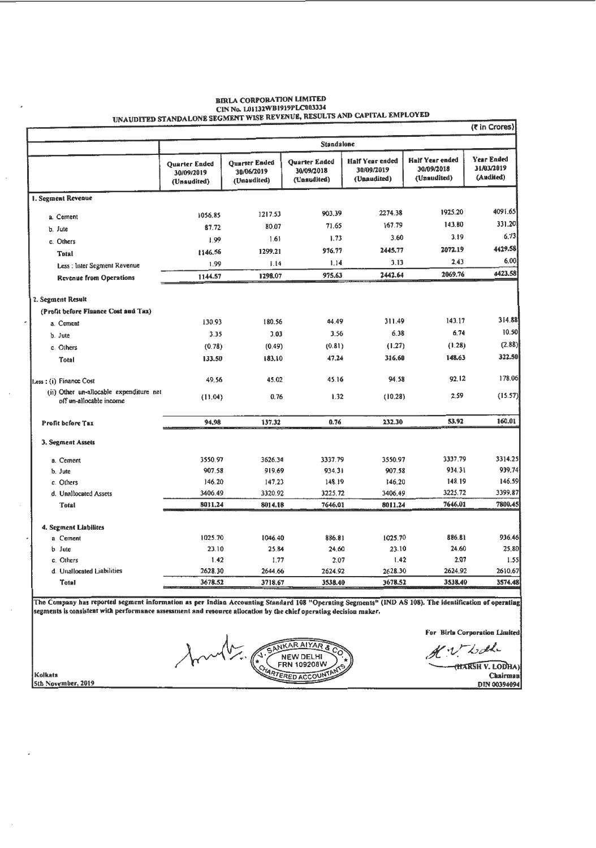|                                                                    | <b>UNAUDITED STANDALONE SEGMENT</b>               |                                                   |                                                   |                                                     |                                                     | (₹ in Crores)                         |
|--------------------------------------------------------------------|---------------------------------------------------|---------------------------------------------------|---------------------------------------------------|-----------------------------------------------------|-----------------------------------------------------|---------------------------------------|
|                                                                    |                                                   | <b>Standalone</b>                                 |                                                   |                                                     |                                                     |                                       |
|                                                                    | <b>Ouarter Ended</b><br>30/09/2019<br>(Unaudited) | <b>Ouarter Ended</b><br>30/06/2019<br>(Unaudited) | <b>Quarter Ended</b><br>30/09/2018<br>(Unaudited) | <b>Half Year ended</b><br>30/09/2019<br>(Unaudited) | <b>Half Year ended</b><br>30/09/2018<br>(Unaudited) | Year Ended<br>31/03/2019<br>(Audited) |
| 1. Segment Revenue                                                 |                                                   |                                                   |                                                   |                                                     |                                                     |                                       |
| a. Cement                                                          | 1056.85                                           | 1217.53                                           | 903.39                                            | 2274.38                                             | 1925.20                                             | 4091.65                               |
| b. Jute                                                            | 87.72                                             | 80.07                                             | 71.65                                             | 167.79                                              | 143.80                                              | 331.20                                |
| c. Others                                                          | 1.99                                              | 1.61                                              | 1.73                                              | 3.60                                                | 3.19                                                | 6.73                                  |
| <b>Total</b>                                                       | 1146.56                                           | 1299.21                                           | 976.77                                            | 2445.77                                             | 2072.19                                             | 4429.58                               |
| Less : Inter Segment Revenue                                       | 1.99                                              | 1.14                                              | 1.14                                              | 3.13                                                | 2.43                                                | 6,00                                  |
| <b>Revenue from Operations</b>                                     | 1144.57                                           | 1298.07                                           | 975.63                                            | 2442.64                                             | 2069.76                                             | 4423.58                               |
| 2. Segment Result                                                  |                                                   |                                                   |                                                   |                                                     |                                                     |                                       |
| (Profit before Finance Cost and Tax)                               |                                                   |                                                   |                                                   |                                                     |                                                     |                                       |
| a. Cement                                                          | 130.93                                            | 180.56                                            | 44.49                                             | 311.49                                              | 143.17                                              | 314.88                                |
| b. Jute                                                            | 3.35                                              | 3.03                                              | 3.56                                              | 6.38                                                | 6.74                                                | 10.50                                 |
| c. Others                                                          | (0.78)                                            | (0.49)                                            | (0.81)                                            | (1.27)                                              | (1, 28)                                             | (2.88)                                |
| Total                                                              | 133.50                                            | 183.10                                            | 47.24                                             | 316.60                                              | 148.63                                              | 322.50                                |
| Less: (i) Finance Cost                                             | 49.56                                             | 45.02                                             | 45.16                                             | 94.58                                               | 92.12                                               | 178.06                                |
| (ii) Other un-allocable expenditure net<br>off un-allocable income | (11.04)                                           | 0.76                                              | 1.32                                              | (10.28)                                             | 2.59                                                | (15.57)                               |
| Profit before Tax                                                  | 94.98                                             | 137.32                                            | 0.76                                              | 232.30                                              | 53.92                                               | 160.01                                |
| 3. Segment Assets                                                  |                                                   |                                                   |                                                   |                                                     |                                                     |                                       |
| a. Cement                                                          | 3550.97                                           | 3626.34                                           | 3337.79                                           | 3550.97                                             | 3337.79                                             | 3314.25                               |
| b. Jute                                                            | 907.58                                            | 919.69                                            | 934.31                                            | 907.58                                              | 934.31                                              | 939.74                                |
| c. Others                                                          | 146.20                                            | 147.23                                            | 148.19                                            | 146,20                                              | 148.19                                              | 146.59                                |
| d. Unallocated Assets                                              | 3406.49                                           | 3320.92                                           | 3225.72                                           | 3406.49                                             | 3225.72                                             | 3399.87                               |
| Total                                                              | 8011.24                                           | 8014.18                                           | 7646.01                                           | 8011.24                                             | 7646.01                                             | 7800.45                               |
| 4. Segment Liabilites                                              |                                                   |                                                   |                                                   |                                                     |                                                     |                                       |
| a Cement                                                           | 1025.70                                           | 1046.40                                           | 886.81                                            | 1025.70                                             | 886.81                                              | 936.46                                |
| <b>b</b> Jute                                                      | 23.10                                             | 25.84                                             | 24.60                                             | 23.10                                               | 24.60                                               | 25,80                                 |
| c. Others                                                          | 1.42                                              | 1.77                                              | 2.07                                              | 1.42                                                | 2.07                                                | 1.5                                   |
| d. Unallocated Liabilities                                         | 2628.30                                           | 2644.66                                           | 2624.92                                           | 2628.30                                             | 2624.92                                             | 2610.67                               |
| Total                                                              | 3678.52                                           | 3718.67                                           | 3538.40                                           | 3678.52                                             | 3538.40                                             | 3574.48                               |

# **BIRLA CORPORATION LIMITED EINEN CONFIDENTION**<br>CIN No. LOII32WB1919PLC003334<br>CAPITAL EMPLOYED

The Company has reported segment information as per Indian Accounting Standard 108 "Operating Segments" (IND AS 108). The identification of operating segments is consistent with performance assessment and resource allocation by the chief operating decision maker.

SANKAR AIYAR &

NEW DELHI

CHARTERED ACCOUNTA

For Birla Corporation Limited

K.V. Look (HARSH V. LODHA)

EXTREMENTS<br>Chairman<br>DIN 00394094

Kolkata 5th November, 2019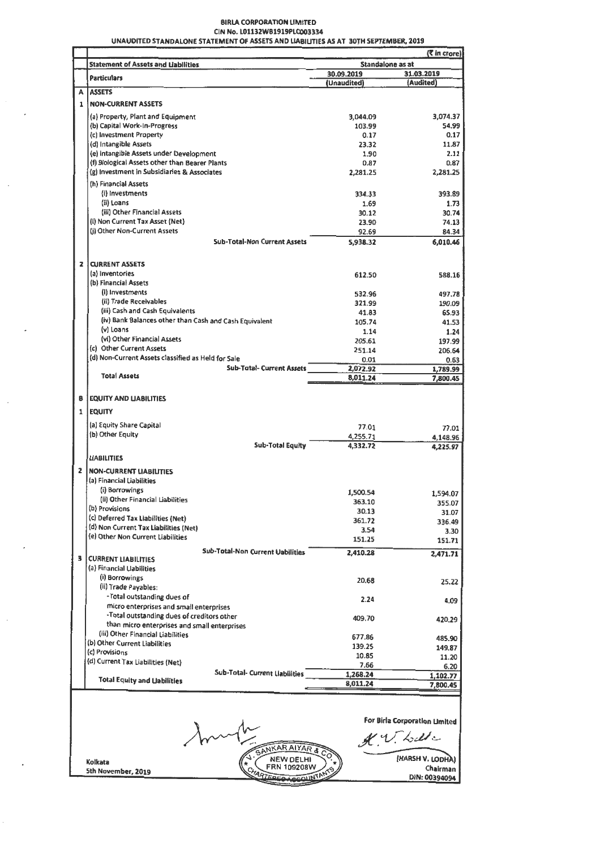### **BIRLA CORPORATION LIMITED** CIN No. L01132WB1919PLC003334

|                |                                                                                   |                    | (<br>fin crore)      |
|----------------|-----------------------------------------------------------------------------------|--------------------|----------------------|
|                | <b>Statement of Assets and Liabilities</b>                                        | Standalone as at   |                      |
|                | <b>Particulars</b>                                                                | 30.09.2019         | 31.03.2019           |
|                | A LASSETS                                                                         | (Unaudited)        | (Audited)            |
| $\mathbf{1}$   | <b>NON-CURRENT ASSETS</b>                                                         |                    |                      |
|                |                                                                                   |                    |                      |
|                | (a) Property, Plant and Equipment<br>(b) Capital Work-In-Progress                 | 3,044.09<br>103.99 | 3,074.37<br>54.99    |
|                | (c) Investment Property                                                           | 0.17               | 0.17                 |
|                | (d) Intangible Assets                                                             | 23.32              | 11.87                |
|                | (e) intangible Assets under Development                                           | 1.90               | 2.11                 |
|                | (f) Biological Assets other than Bearer Plants                                    | 0.87               | 0.87                 |
|                | (g) Investment in Subsidiaries & Associates                                       | 2,281.25           | 2,281.25             |
|                | (h) Financial Assets                                                              |                    |                      |
|                | (i) Investments                                                                   | 334.33             | 393.89               |
|                | (ii) Loans<br>(iii) Other Financial Assets                                        | 1.69<br>30.12      | 1.73<br>30.74        |
|                | (i) Non Current Tax Asset (Net)                                                   | 23.90              | 74.13                |
|                | (i) Other Non-Current Assets                                                      | 92.69              | 84.34                |
|                | <b>Sub-Total-Non Current Assets</b>                                               | 5,938.32           | 6,010.46             |
|                |                                                                                   |                    |                      |
| $\mathbf{z}$   | <b>CURRENT ASSETS</b>                                                             |                    |                      |
|                | (a) Inventories<br>(b) Financial Assets                                           | 612.50             | 588.16               |
|                | (i) Investments                                                                   | 532.96             |                      |
|                | (ii) Trade Receivables                                                            | 321.99             | 497.78<br>190.09     |
|                | (iii) Cash and Cash Equivalents                                                   | 41.83              | 65.93                |
|                | (iv) Bank Balances other than Cash and Cash Equivalent                            | 105.74             | 41.53                |
|                | (v) Loans                                                                         | 1.14               | 1.24                 |
|                | (vi) Other Financial Assets                                                       | 205.61             | 197.99               |
|                | (c) Other Current Assets<br>(d) Non-Current Assets classified as Held for Sale    | 251.14             | 206.64               |
|                | <b>Sub-Tatal- Current Assets</b>                                                  | 0.01<br>2,072.92   | 0.63                 |
|                | <b>Total Assets</b>                                                               | 8,011.24           | 1,789.99<br>7,800.45 |
|                |                                                                                   |                    |                      |
| в.             | <b>EQUITY AND LIABILITIES</b>                                                     |                    |                      |
|                | 1 EQUITY                                                                          |                    |                      |
|                | (a) Equity Share Capital                                                          | 77.01              | 77.01                |
|                | (b) Other Equity                                                                  | 4,255.71           | 4,148.96             |
|                | <b>Sub-Total Equity</b>                                                           | 4,332.72           | 4,225.97             |
|                | <b>LIABILITIES</b>                                                                |                    |                      |
| $\overline{2}$ | <b>NON-CURRENT LIABILITIES</b>                                                    |                    |                      |
|                | (a) Financial Liabilities                                                         |                    |                      |
|                | (i) Borrowings                                                                    | 1,500.54           | 1,594.07             |
|                | (ii) Other Financial Liabilities                                                  | 363.10             | 355.07               |
|                | (b) Provisions                                                                    | 30.13              | 31.07                |
|                | (c) Deferred Tax Liabilities (Net)<br>(d) Non Current Tax Liabilities (Net)       | 361.72             | 336.49               |
|                | (e) Other Non Current Liabilities                                                 | 3.54               | 3.30                 |
|                |                                                                                   | 151.25             | 151.71               |
| з              | <b>Sub-Total-Non Current Uabilities</b><br><b>CURRENT LIABILITIES</b>             | 2,410.28           | 2,471.71             |
|                | (a) Financial Uabilities                                                          |                    |                      |
|                | (i) Borrowings                                                                    | 20.68              |                      |
|                | (ii) Trade Payables:                                                              |                    | 25.22                |
|                | -Total outstanding dues of                                                        | 2.24               | 4.09                 |
|                | micro enterprises and small enterprises                                           |                    |                      |
|                | -Total outstanding dues of creditors other                                        | 409.70             | 420,29               |
|                | than micro enterprises and small enterprises<br>(iii) Other Financial Liabilities |                    |                      |
|                | (b) Other Current Liabilities                                                     | 677.86             | 485.90               |
|                | (c) Provisions                                                                    | 139.25             | 149.87               |
|                | (d) Current Tax Liabilities (Net)                                                 | 10.85<br>7.66      | 11.20<br>6.20        |
|                | Sub-Total- Current Liabilities                                                    | 1,268.24           | 1,102.77             |
|                | <b>Total Equity and Uabilities</b>                                                | 8,011.24           | 7,800.45             |
|                |                                                                                   |                    |                      |
|                |                                                                                   |                    |                      |

For Birla Corporation Umited

K.V. Lette

**10.45** 

INT

SANKAR AIYAR & NEW DELHI<br>FRN 109208W

Kolkata

5th November, 2019

(HARSH V. LODHA)<br>Chairman<br>DIN: 00394094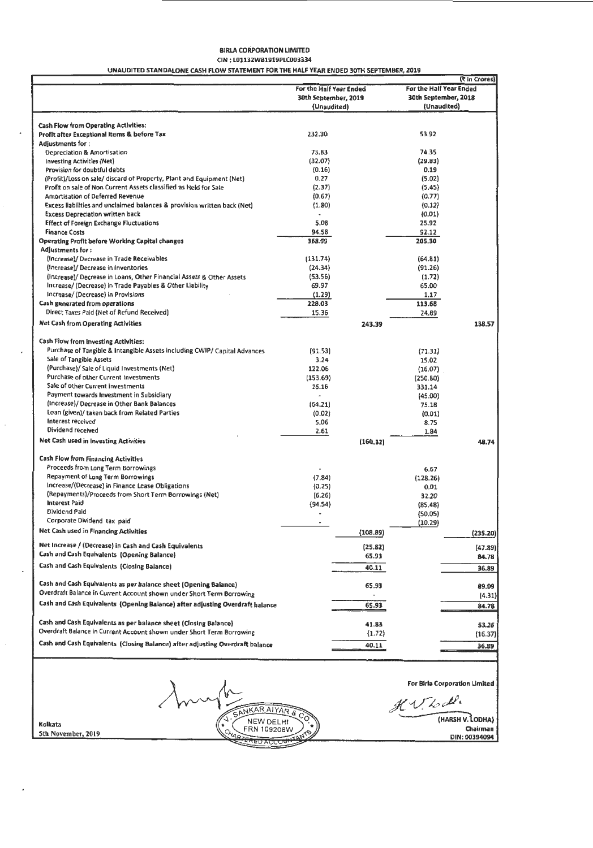#### BlRLA CORPORATION LIMITED CIN: L01132WB1919PLC003334 UNAUDITED STANDALONE CASH FLOW STATEMENT FOR THE HALF YEAR ENDED 30TH SEPTEMBER, 2019

|                                                                               |                         |          |                         | (₹ in Crores)        |
|-------------------------------------------------------------------------------|-------------------------|----------|-------------------------|----------------------|
|                                                                               | For the Half Year Ended |          | For the Half Year Ended |                      |
|                                                                               | 30th September, 2019    |          |                         | 30th September, 2018 |
|                                                                               | (Unaudited)             |          |                         | (Unaudited)          |
|                                                                               |                         |          |                         |                      |
| Cash Flow from Operating Activities:                                          |                         |          |                         |                      |
| Profit after Exceptional Items & before Tax                                   | 232.30                  |          | 53.92                   |                      |
| <b>Adjustments for:</b>                                                       |                         |          |                         |                      |
| Depreciation & Amortisation                                                   | 73.83                   |          | 74.35                   |                      |
| <b>Investing Activities (Net)</b>                                             | (32.07)                 |          | (29.83)                 |                      |
| Provision for doubtful debts                                                  | (0.16)                  |          | 0.19                    |                      |
| (Profit)/Loss on sale/ discard of Property, Plant and Equipment (Net)         | 0.27                    |          | (5.02)                  |                      |
| Profit on sale of Non Current Assets classified as Held for Sale              | (2.37)                  |          | (5.45)                  |                      |
| Amortisation of Deferred Revenue                                              | (0.67)                  |          | (0.77)                  |                      |
| Excess liabilities and unclaimed balances & provision written back (Net)      | (1.80)                  |          | ${0.12}$                |                      |
| <b>Excess Depreciation written back</b>                                       |                         |          | (0.01)                  |                      |
| <b>Effect of Foreign Exchange Fluctuations</b>                                | 5.08                    |          | 25.92                   |                      |
| <b>Finance Costs</b>                                                          | 94.58                   |          | 92.12                   |                      |
| <b>Operating Profit before Working Capital changes</b>                        | 368.99                  |          | 205.30                  |                      |
| Adjustments for:                                                              |                         |          |                         |                      |
| (Increase)/ Decrease in Trade Receivables                                     | (131.74)                |          | (64.81)                 |                      |
| (Increase)/ Decrease in Inventories                                           | (24.34)                 |          | (91.26)                 |                      |
| (Increase)/ Decrease in Loans, Other Financial Assets & Other Assets          | (53.56)                 |          | (1.72)                  |                      |
| Increase/ (Decrease) in Trade Payables & Other Liability                      | 69.97                   |          | 65.00                   |                      |
| Increase/ (Decrease) in Provisions                                            | (1.29)                  |          | 1.17                    |                      |
| Cash generated from operations                                                | 228.03                  |          | 113.68                  |                      |
| Direct Taxes Paid (Net of Refund Received)                                    | 15,36                   |          | 24.89                   |                      |
| <b>Net Cash from Operating Activities</b>                                     |                         | 243.39   |                         | 138.57               |
| Cash Flow from investing Activities:                                          |                         |          |                         |                      |
| Purchase of Tangible & Intangible Assets including CWIP/ Capital Advances     | (91.53)                 |          | (71.31)                 |                      |
| Sale of Tangible Assets                                                       | 3.24                    |          | 15.02                   |                      |
| (Purchase)/Sale of Liquid Investments (Net)                                   | 122.06                  |          | (16.07)                 |                      |
| Purchase of other Current Investments                                         | (153.69)                |          | (250.80)                |                      |
| Sale of other Current Investments                                             | 16.16                   |          | 331.14                  |                      |
| Payment towards Investment in Subsidiary                                      |                         |          | (45.00)                 |                      |
| (Increase)/ Decrease in Other Bank Balances                                   | (64.21)                 |          | 75.18                   |                      |
| Loan (given)/ taken back from Related Parties                                 | (0.02)                  |          | (0.01)                  |                      |
| Interest received                                                             | 5.06                    |          | 8.75                    |                      |
| Dividend received                                                             | 2.61                    |          | 1.84                    |                      |
| Net Cash used in Investing Activities                                         |                         |          |                         |                      |
|                                                                               |                         | (160.32) |                         | 48.74                |
| <b>Cash Flow from Financing Activities</b>                                    |                         |          |                         |                      |
| Proceeds from Long Term Borrowings                                            |                         |          | 6.67                    |                      |
| Repayment of Long Term Borrowings                                             | (7.84)                  |          | (128.26)                |                      |
| Increase/(Decrease) in Finance Lease Obligations                              | (0.25)                  |          | 0.01                    |                      |
| (Repayments)/Proceeds from Short Term Borrowings (Net)                        | (6.26)                  |          | 32.20                   |                      |
| <b>Interest Paid</b>                                                          | ${94.54}$               |          | (85.48)                 |                      |
| Dividend Paid                                                                 |                         |          | (50.05)                 |                      |
| Corporate Dividend tax paid                                                   |                         |          | (10.29)                 |                      |
| Net Cash used in Financing Activities                                         |                         | (108.89) |                         | (235.20)             |
| Net Increase / (Decrease) in Cash and Cash Equivalents                        |                         | (25.82)  |                         | (47.89)              |
| Cash and Cash Equivalents (Opening Balance)                                   |                         | 65.93    |                         | 84.78                |
| Cash and Cash Equivalents (Closing Balance)                                   |                         | 40.11    |                         | 36.89                |
| Cash and Cash Equivalents as per balance sheet (Opening Balance)              |                         | 65.93    |                         | 89.09                |
| Overdraft Balance in Current Account shown under Short Term Borrowing         |                         |          |                         | (4.31)               |
| Cash and Cash Equivalents (Opening Balance) after adjusting Overdraft balance |                         | 65.93    |                         | 84.78                |
|                                                                               |                         |          |                         |                      |
| Cash and Cash Equivalents as per balance sheet (Closing Balance)              |                         | 41.83    |                         | 53.26                |
| Overdraft Balance in Current Account shown under Short Term Borrowing         |                         | (1.72)   |                         | (16.37)              |
| Cash and Cash Equivalents (Closing Balance) after adjusting Overdraft balance |                         | 40.11    |                         | 36.89                |
|                                                                               |                         |          |                         |                      |

For Blrla Corporation Limited

 $KV$  to de.

(HARSH V. LODHA)

kolkata Sth November. 2019

SANKAR AIYAR & NEW DELHI  $\frac{1}{20 \text{ ACCC}}$ 

۰.

 $\star$ 

 $\lambda$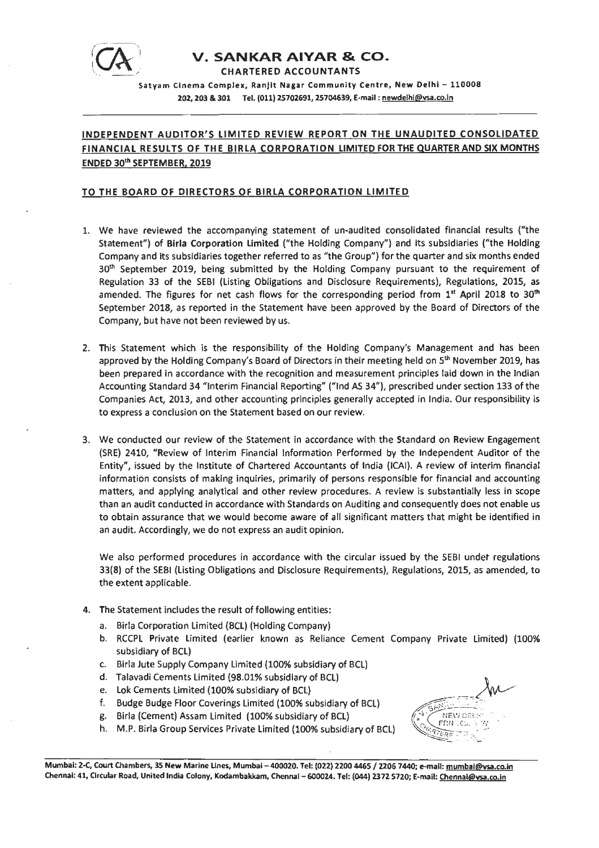

# **V. SANKAR AIYAR & CO.**

CHARTERED ACCOUNTANTS

Satyam Cinema Complex, Ranjit Nagar Community Centre, New Delhi - 110008 202, 203 & 301 Tel. (011) 25702691, 25704639, E-mail : newdelhi@vsa.co.in

# **INDEPENDENT AUDITOR'S LIMITED REVIEW REPORT ON THE UNAUDITED CONSOLIDATED FINANCIAL RESULTS OF THE BIRLA CORPORATION LIMITED FOR THE QUARTER AND SIX MONTHS ENDED 30th SEPTEMBER, 2019**

### **TO THE BOARD OF DIRECTORS OF BIRLA CORPORATION LIMITED**

- 1. We have reviewed the accompanying statement of un-audited consolidated financial results ("the Statement") of **Birla Corporation Limited** ("the Holding Company") and its subsidiaries {"the Holding Company and its subsidiaries together referred to as "the Group") for the quarter and six months ended 30<sup>th</sup> September 2019, being submitted by the Holding Company pursuant to the requirement of Regulation 33 of the SEBI (Listing Obligations and Disclosure Requirements), Regulations, 2015, as amended. The figures for net cash flows for the corresponding period from  $1<sup>st</sup>$  April 2018 to 30<sup>th</sup> September 2018, as reported in the Statement have been approved by the Board of Directors of the Company, but have not been reviewed by us.
- 2. This Statement which is the responsibility of the Holding Company's Management and has been approved by the Holding Company's Board of Directors in their meeting held on  $5<sup>th</sup>$  November 2019, has been prepared in accordance with the recognition and measurement principles laid down in the Indian Accounting Standard 34 "Interim Financial Reporting" ("Ind *AS* 34"), prescribed under section 133 of the Companies Act, 2013, and other accounting principles generally accepted in India. Our responsibility is to express a conclusion on the Statement based on our review.
- 3. We conducted our review of the Statement in accordance with the Standard on Review Engagement (SRE) 2410, "Review of Interim Financial Information Performed by the Independent Auditor of the Entity", issued by the Institute of Chartered Accountants of India {ICAI}. A review of interim financial information consists of making inquiries, primarily of persons responsible for financial and accounting matters, and applying analytical and other review procedures. A review is substantially less in scope than an audit conducted in accordance with Standards on Auditing and consequently does not enable us to obtain assurance that we would become aware of all significant matters that might be identified in an audit. Accordingly, we do not express an audit opinion.

We also performed procedures in accordance with the circular issued by the SEBI under regulations 33(8) of the SEBI (Listing Obligations and Disclosure Requirements), Regulations, 2015, as amended, to the extent applicable.

- 4. The Statement includes the result of following entities:
	- a. Birla Corporation Limited {BCL) {Holding Company)
	- b. RCCPL Private Limited (earlier known as Reliance Cement Company Private Limited) (100% subsidiary of BCL}
	- c. Birla Jute Supply Company Limited (100% subsidiary of BCL)
	- d. Talavadi Cements Limited (98.01% subsidiary of BCL)
	- e. Lok Cements Limited {100% subsidiary of BCL)
	- f. Budge Budge Floor Coverings Limited (100% subsidiary of BCL)
	- g. Birla (Cement) Assam Limited (100% subsidiary of BCL}
	- h. M.P. Birla Group Services Private Limited (100% subsidiary of BCL)



Mumbai: Z-C, Court Chambers, 35 New Marine Lines, Mumbai - 400020. Tel: (022) 2200 4465 / 2206 7440; e-mail: mumbai@vsa.co.in Chennai: 41, Circular Road, United India Colony, Kodambakkam, Chennai - 600024. Tel: (044) 2372 5720; E-mail: Chennal@ysa.co.in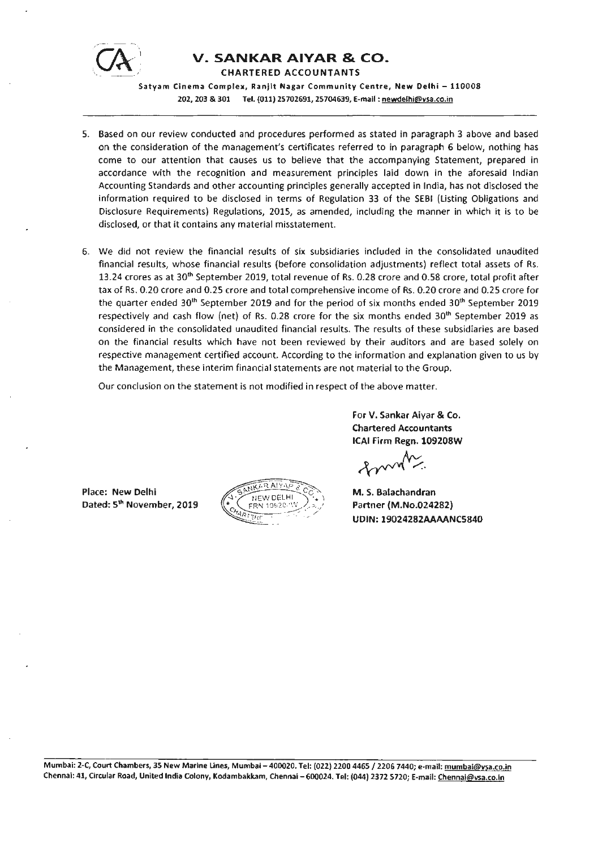

# **V. SANKAR AIVAR** & CO.

CHARTERED ACCOUNTANTS

Satyam Cinema Complex, Ranjlt **Nagar** Community Centre, New Delhi - 110008 202, 203 & 301 Tel. (011) 25702691, 25704639, E-mail : newdelhi@vsa.co.in

- 5. Based on our review conducted and procedures performed as stated in paragraph 3 above and based on the consideration of the management's certificates referred to in paragraph 6 below, nothing has come to our attention that causes us to believe that the accompanying Statement, prepared in accordance with the recognition and measurement principles laid down in the aforesaid Indian Accounting Standards and other accounting principles generally accepted in India, has not disclosed the information required to be disclosed in terms of Regulation 33 of the SEBI (Listing Obligations and Disclosure Requirements) Regulations, 2015, as amended, including the manner in which it is to be disclosed, or that it contains any material misstatement.
- 6. We did not review the financial results of six subsidiaries included in the consolidated unaudited financial results, whose financial results (before consolidation adjustments) reflect total assets of Rs. 13.24 crores as at 30<sup>th</sup> September 2019, total revenue of Rs. 0.28 crore and 0.58 crore, total profit after tax of Rs. 0.20 crore and 0.25 crore and total comprehensive income of Rs. 0.20 crore and 0.25 crore for the quarter ended 30<sup>th</sup> September 2019 and for the period of six months ended 30<sup>th</sup> September 2019 respectively and cash flow (net) of Rs. 0.28 crore for the six months ended  $30<sup>th</sup>$  September 2019 as considered in the consolidated unaudited financial results. The results of these subsidiaries are based on the financial results which have not been reviewed by their auditors and are based solely on respective management certified account. According to the information and explanation given to us by the Management, these interim financial statements are not material to the Group.

Our conclusion on the statement is not modified in respect of the above matter.

**For V. Sankar Aiyar** & **Co. Chartered Accountants ICAI Firm Regn. 109208W** 

Place: New Delhi Dated: 5<sup>th</sup> November, 2019



M. S. Balachandran Partner (M.No.024282) UDIN: 19024282AAAANC5840

Mumbai: 2-C, Court Chambers, 35 New Marine Lines, Mumbai - 400020. Tel: (022) 2200 4465 / 2206 7440; e-mail: mumbai@ysa.co.in Chennai: 41, Circular Road, United India Colony, Kodambakkam, Chennai - 600024. Tel: (044) 2372 5720; E-mail: Chennai@vsa.co.in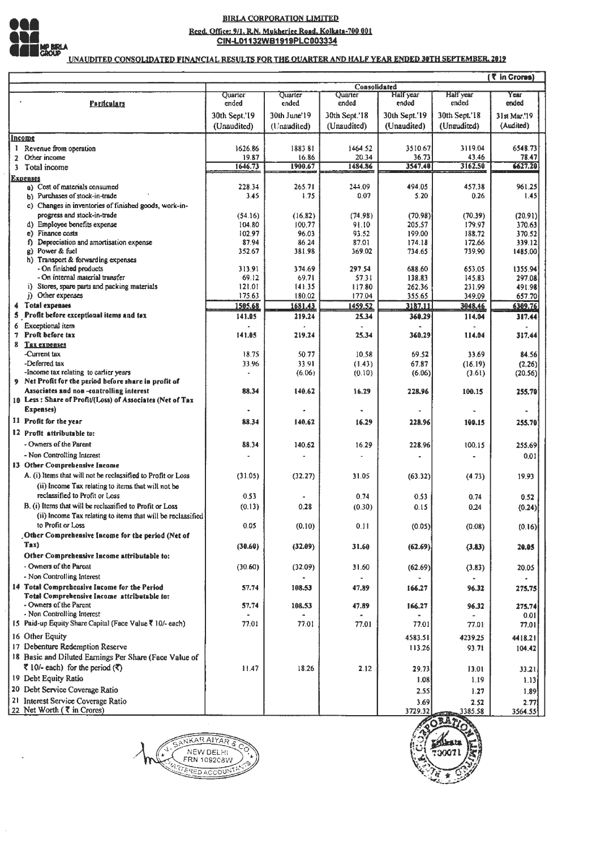

# **BIRLA CORPORATION LIMITED** Regd. Office: 9/1, R.N. Mukherjee Road, Kolkata-700 001<br>CIN-L01132WB1919PLC003334

UNAUDITED CONSOLIDATED FINANCIAL RESULTS FOR THE OUARTER AND HALF YEAR ENDED 30TH SEPTEMBER, 2019

|              | ( र in Crores)                                                    |                  |                  |                  |                    |                           |                           |  |
|--------------|-------------------------------------------------------------------|------------------|------------------|------------------|--------------------|---------------------------|---------------------------|--|
|              |                                                                   |                  |                  | Consolidated     |                    |                           |                           |  |
|              | <b>Particulars</b>                                                | Ouarter<br>ended | Quarter<br>ended | Quarter<br>ended | Half year<br>ended | <b>Half</b> year<br>ended | Year<br>ended             |  |
|              |                                                                   |                  | 30th June'19     | 30th Sept.'18    | 30th Sept.'19      | 30th Sept.'18             |                           |  |
|              |                                                                   | 30th Sept.'19    |                  |                  |                    |                           | 31st Mar.'19<br>(Audited) |  |
|              |                                                                   | (Unaudited)      | (Unaudited)      | (Unaudited)      | (Unaudited)        | (Unaudited)               |                           |  |
|              | Income                                                            |                  |                  |                  |                    |                           |                           |  |
|              | 1 Revenue from operation                                          | 1626.86          | 1883.81          | 1464.52          | 3510.67            | 3119.04                   | 6548.73                   |  |
| $\mathbf{z}$ | Other income                                                      | 19.87<br>1646.73 | 16.86<br>1900.67 | 20.34<br>1484.86 | 36.73<br>3547.40   | 43.46<br>3162.50          | 78.47<br>6627.20          |  |
| 3.           | Total income                                                      |                  |                  |                  |                    |                           |                           |  |
|              | <b>Expenses</b><br>a) Cost of materials consumed                  | 228.34           | 265.71           | 244.09           | 494.05             | 457.38                    | 961.25                    |  |
|              | b) Purchases of stock-in-trade                                    | 3.45             | 1.75             | 0.07             | 5.20               | 0.26                      | 1.45                      |  |
|              | c) Changes in inventories of finished goods, work-in-             |                  |                  |                  |                    |                           |                           |  |
|              | progress and stock-in-trade                                       | (54.16)          | (16.82)          | (74.98)          | (70.98)            | (70.39)                   | (20.91)                   |  |
|              | d) Employee benefits expense                                      | 104.80           | 100.77           | 91.10            | 205.57             | 179.97                    | 370.63                    |  |
|              | e) Finance costs                                                  | 102.97           | 96.03            | 93.52            | 199.00             | 188.72                    | 370.52                    |  |
|              | Depreciation and amortisation expense<br>Ð                        | 87.94            | 86.24            | 87.01            | 174.18             | 172.66                    | 339.12                    |  |
|              | g) Power & fuel                                                   | 352.67           | 381.98           | 369.02           | 734.65             | 739.90                    | 1485.00                   |  |
|              | h) Transport & forwarding expenses                                |                  |                  |                  |                    |                           |                           |  |
|              | - On finished products                                            | 313.91           | 374.69           | 297.54           | 688.60             | 653.05                    | 1355.94                   |  |
|              | - On internal material transfer                                   | 69.12            | 69.71            | 57.31            | 138.83             | 145.83                    | 297.08                    |  |
|              | i) Stores, spare parts and packing materials<br>j) Other expenses | 121.01<br>175.63 | 141.35<br>180.02 | 117.80<br>177.04 | 262.36<br>355.65   | 231.99<br>349.09          | 491.98<br>657.70          |  |
|              | 4 Total expenses                                                  | 1505.68          | 1681.43          | 1459.52          | 3187.11            | 3048.46                   | 6309.76                   |  |
| 5            | Profit before exceptional items and tax                           | 141.05           | 219.24           | 25.34            | 360.29             | 114.04                    | 317.44                    |  |
| 6            | Exceptional item                                                  |                  |                  |                  |                    |                           |                           |  |
| 7            | Proft before tax                                                  | 141.05           | 219.24           | 25.34            | 360.29             | 114.04                    | 317.44                    |  |
| 8            | Tax expenses                                                      |                  |                  |                  |                    |                           |                           |  |
|              | -Current tax                                                      | 18.75            | 50.77            | 10.58            | 69.52              | 33.69                     | 84.56                     |  |
|              | -Deferred tax                                                     | 33.96            | 33.91            | (1.43)           | 67.87              | (16.19)                   | (2.26)                    |  |
|              | -Income tax relating to earlier years                             |                  | (6.06)           | (0.10)           | (6.06)             | (3.61)                    | (20.56)                   |  |
|              | 9 Net Profit for the period before share in profit of             |                  |                  |                  |                    |                           |                           |  |
|              | Associates and non-controlling interest                           | 88.34            | 140.62           | 16.29            | 228.96             | 100.15                    | 255.70                    |  |
|              | 10 Less: Share of Profit/(Loss) of Associates (Net of Tax         |                  |                  |                  |                    |                           |                           |  |
|              | Expenses)                                                         |                  |                  |                  |                    |                           |                           |  |
|              | 11 Profit for the year                                            | 88.34            | 140.62           | 16.29            | 228.96             | 190.15                    | 255,70                    |  |
|              | 12 Profit attributable to:                                        |                  |                  |                  |                    |                           |                           |  |
|              | - Owners of the Parent                                            | 88.34            | 140.62           | 16.29            | 228.96             | 100.15                    | 255.69                    |  |
|              | - Non Controlling Interest                                        |                  |                  |                  |                    |                           | 0.01                      |  |
|              | 13 Other Comprehensive Income                                     |                  |                  |                  |                    |                           |                           |  |
|              | A. (i) Items that will not be reclassified to Profit or Loss      | (31.05)          | (32.27)          | 31.05            | (63.32)            | (4.73)                    | 19.93                     |  |
|              | (ii) Income Tax relating to items that will not be                |                  |                  |                  |                    |                           |                           |  |
|              | reclassified to Profit or Loss                                    | 0,53             |                  | 0.74             | 0.53               | 0.74                      | 0.52                      |  |
|              | B. (i) Items that will be reclassified to Profit or Loss          | (0.13)           | 0.28             | (0.30)           | 0.15               | 0.24                      | (0.24)                    |  |
|              | (ii) Income Tax relating to items that will be reclassified       |                  |                  |                  |                    |                           |                           |  |
|              | to Profit or Loss                                                 | 0.05             | (0.10)           | 0.11             | (0.05)             | (0.08)                    | (0.16)                    |  |
|              | Other Comprehensive Income for the period (Net of                 |                  |                  |                  |                    |                           |                           |  |
|              | Tax)                                                              | (30.60)          | (32.09)          | 31.60            | (62.69)            | (3.83)                    | 20.05                     |  |
|              | Other Comprehensive Income attributable to:                       |                  |                  |                  |                    |                           |                           |  |
|              | - Owners of the Parent                                            | (30.60)          | (32.09)          | 31.60            | (62.69)            | (3.83)                    | 20.05                     |  |
|              | - Non Controlling Interest                                        |                  |                  |                  |                    |                           |                           |  |
|              | 14 Total Comprehensive Income for the Period                      | 57.74            | 108.53           | 47.89            | 166.27             | 96.32                     |                           |  |
|              | Total Comprehensive Income attributable to:                       |                  |                  |                  |                    |                           | 275,75                    |  |
|              | - Owners of the Parent                                            | 57.74            | 108.53           | 47.89            | 166.27             | 96.32                     | 275.74                    |  |
|              | - Non Controlling Interest                                        |                  |                  |                  |                    |                           | 0.01                      |  |
|              | 15 Paid-up Equity Share Capital (Face Value ₹ 10/- each)          | 77.01            | 77.01            | 77.01            | 77.01              | 77.01                     | 77.01                     |  |
|              | 16 Other Equity                                                   |                  |                  |                  | 4583.51            | 4239.25                   | 4418.21                   |  |
|              | 17 Debenture Redemption Reserve                                   |                  |                  |                  | 113.26             | 93.71                     | 104.42                    |  |
|              | 18 Basic and Diluted Earnings Per Share (Face Value of            |                  |                  |                  |                    |                           |                           |  |
|              | र 10/- each) for the period $($ र)                                | 11.47            | 18.26            | 2.12             | 29.73              | 13.01                     | 33.21                     |  |
|              | 19 Debt Equity Ratio                                              |                  |                  |                  |                    | 1.19                      |                           |  |
|              |                                                                   |                  |                  |                  | 1.08               |                           | 1.13                      |  |
|              | 20 Debt Service Coverage Ratio                                    |                  |                  |                  | 2.55               | 1.27                      | 1.89                      |  |
|              | 21 Interest Service Coverage Ratio                                |                  |                  |                  | 3.69               | 2.52                      | 2.77                      |  |
|              | 22 Net Worth (₹ in Crores)                                        |                  |                  |                  | 3729.32            | 3385.58                   | 3564.55                   |  |



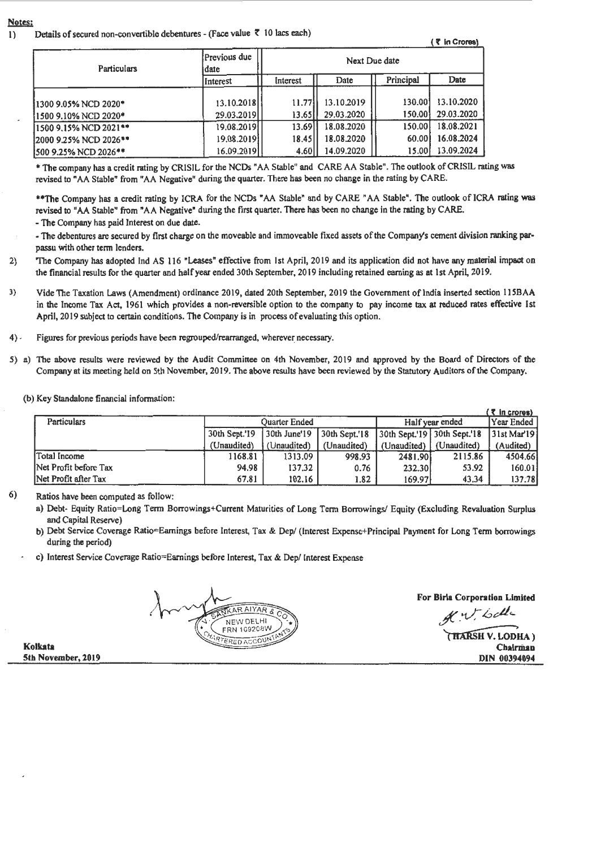#### Notes:

1) Details of secured non-convertible debentures - (Face value  $\bar{\tau}$  10 lacs each)  $\bar{\tau}$  in Crores)

|  |  | (₹ in Crores |
|--|--|--------------|
|  |  |              |
|  |  |              |

| <b>Particulars</b>    | Previous due<br>idate | Next Due date |            |           |            |  |
|-----------------------|-----------------------|---------------|------------|-----------|------------|--|
|                       | Interest              | Interest      | Date       | Principal | Date       |  |
| 1300 9.05% NCD 2020*  | 13.10.2018            | 11.77         | 13.10.2019 | 130.00    | 13.10.2020 |  |
| 1500 9.10% NCD 2020*  | 29.03.2019            | 13.65         | 29.03.2020 | 150.00    | 29.03.2020 |  |
| 1500 9.15% NCD 2021** | 19.08.2019            | 13.69         | 18.08.2020 | 150.00    | 18.08.2021 |  |
| 2000 9.25% NCD 2026** | 19.08.20191           | 18.45         | 18.08.2020 | 60.00     | 16.08.2024 |  |
| 500 9.25% NCD 2026**  | 16.09.20191           | 4.60          | 14.09.2020 | 15.00     | 13.09.2024 |  |

• The company has a credit rating by CRISIL for the NCDs • AA Stable" and CARE AA Stable". The outlook ofCRISIL rating was revised to "AA Stable" from "AA Negative" during the quarter. There has been no change in the rating by CARE.

\*\*The Company has a credit rating by ICRA for the NCDs "AA Stable" and by CARE "AA Stable". The outlook of ICRA rating was revised to "AA Stable" from "AA Negative" during the first quarter. There has been no change in the rating by CARE.

- The Company has paid Interest on due date.

- The debentures are secured by first charge on the moveable and immoveable fixed assets of the Company's cement division ranking parpassu with other term lenders.

- 2) The Company has adopted Ind AS 116 "Leases" effective from 1st April, 2019 and its application did not have any material impact on the financial results for the quarter and half year ended 30th September, 2019 including retained earning as at 1st April, 2019.
- 3) Vide The Taxation Laws (Amendment) ordinance 2019, dated 20th September, 2019 the Government of India inserted section 115BAA in the Income Tax Act, 1961 which provides a non-reversible option to the company to pay income tax at reduced rates effective 1st April, 2019 subject to certain conditions. The Company is in process of evaluating this option.
- 4) Figures for previous periods have been regrouped/rearranged, wherever necessary.
- 5) a) The above results were reviewed by the Audit Committee on 4th November, 2019 and approved by the Board of Directors of the Company at its meeting held on 5th November, 2019. The above results have been reviewed by the Statutory Auditors of the Company.

(b) Key Standalone financial information:

|                       |               |                      |                   |                                 |             | ( ₹ in crores)           |
|-----------------------|---------------|----------------------|-------------------|---------------------------------|-------------|--------------------------|
| <b>Particulars</b>    |               | <b>Ouarter Ended</b> |                   | Half year ended                 | IYear Ended |                          |
|                       | 30th Sept.'19 | 30th June'19         | $30th$ Sept. $18$ | $30th$ Sept. 19 $30th$ Sept. 18 |             | 31st Mar <sup>.</sup> 19 |
|                       | (Unaudited)   | (Unaudited)          | (Unaudited)       | (Unaudited)   (Unaudited)       |             | (Audited)                |
| <b>Total Income</b>   | 1168.81       | 1313.09              | 998.93            | 2481.90                         | 2115.86     | 4504.66                  |
| Net Profit before Tax | 94.98         | 137.32               | 0.76              | 232.30                          | 53.92       | 160.01                   |
| Net Profit after Tax  | 67.81         | 102.16               | 1.82              | 169.97                          | 43.34       | 137.78                   |

6) Ratios have been computed as follow:

- a) Debt- Equity Ratio=Long Term Borrowings+Current Maturities of Long Term Borrowings/ Equity (Excluding Revaluation Surplus and Capital Reserve)
- b) Debt Service Coverage Ratio=Eamings before Interest, Tax & Dep/ (Interest Expense+Principal Payment for Long Term borrowings during the period)
- c) Interest Service Coverage Ratio=Eamings before Interest, Tax & Dep/ Interest Expense

**ARAIYAR** NEW DELHI FRN 109208W ERED ACCOUN

For Birla Corporation Limited

 $A^{\prime}$  v both

THARSH V. LODHA) Chairman DIN 00394094

**Kolkata 5th November,** 2019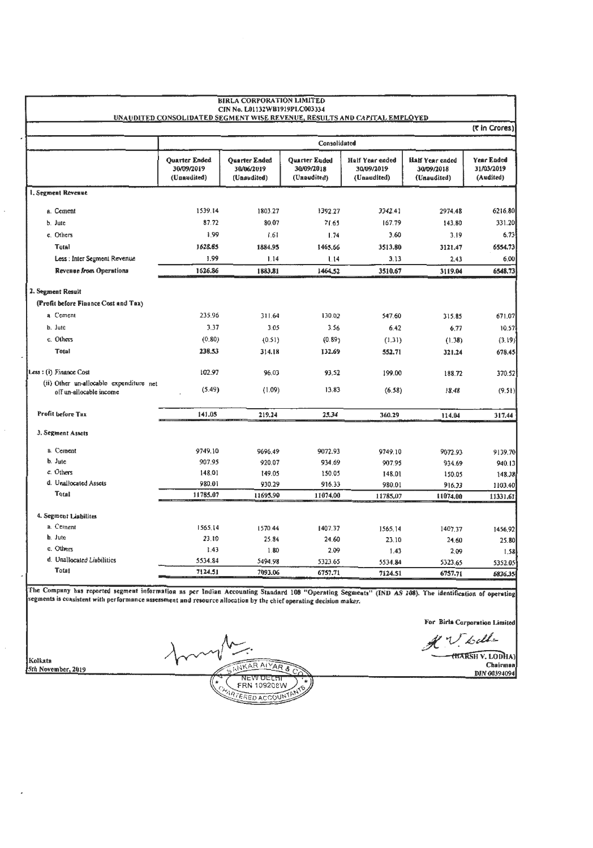|                                                                    |                                                   | <b>BIRLA CORPORATION LIMITED</b><br>CIN No. L01132WB1919PLC003334<br>UNAUDITED CONSOLIDATED SEGMENT WISE REVENUE, RESULTS AND CAPITAL EMPLOYED |                                                   |                                                     |                                                     |                                       |
|--------------------------------------------------------------------|---------------------------------------------------|------------------------------------------------------------------------------------------------------------------------------------------------|---------------------------------------------------|-----------------------------------------------------|-----------------------------------------------------|---------------------------------------|
|                                                                    |                                                   |                                                                                                                                                |                                                   |                                                     |                                                     | (₹ in Crores)                         |
|                                                                    |                                                   |                                                                                                                                                | Consolidated                                      |                                                     |                                                     |                                       |
|                                                                    | <b>Ouarter Ended</b><br>30/09/2019<br>(Unaudited) | Quarter Ended<br>30/06/2019<br>(Unaudited)                                                                                                     | <b>Quarter Ended</b><br>30/09/2018<br>(Unaudited) | <b>Half Year ended</b><br>30/09/2019<br>(Unaudited) | <b>Half Year ended</b><br>30/09/2018<br>(Unaudited) | Year Ended<br>31/03/2019<br>(Audited) |
| 1. Segment Revenue                                                 |                                                   |                                                                                                                                                |                                                   |                                                     |                                                     |                                       |
| a. Cement                                                          | 1539.14                                           | 1803.27                                                                                                                                        | 1392.27                                           | 3342.41                                             | 2974.48                                             | 6216.80                               |
| b. Jute                                                            | 87.72                                             | 80.07                                                                                                                                          | 71.65                                             | 167.79                                              | 143.80                                              | 331.20                                |
| c. Others                                                          | 1.99                                              | 1.61                                                                                                                                           | 1.74                                              | 3.60                                                | 3.19                                                | 6.73                                  |
| Total                                                              | 1628.85                                           | 1884.95                                                                                                                                        | 1465.66                                           | 3513.80                                             | 3121.47                                             | 6554.73                               |
| Less : Inter Segment Revenue                                       | 1.99                                              | 1.14                                                                                                                                           | 1.14                                              | 3.13                                                | 2.43                                                | 6.00                                  |
| <b>Revenue from Operations</b>                                     | 1626.86                                           | 1883.81                                                                                                                                        | 1464.52                                           | 3510.67                                             | 3119.04                                             | 6548.73                               |
| 2. Segment Result                                                  |                                                   |                                                                                                                                                |                                                   |                                                     |                                                     |                                       |
| (Profit before Finance Cost and Tax)                               |                                                   |                                                                                                                                                |                                                   |                                                     |                                                     |                                       |
| a. Cement                                                          | 235,96                                            | 311.64                                                                                                                                         | 130.02                                            | 547.60                                              | 315.85                                              | 671.07                                |
| b. Jute                                                            | 3.37                                              | 3.05                                                                                                                                           | 3.56                                              | 6.42                                                | 6,77                                                | 10.57                                 |
| c. Others                                                          | (0.80)                                            | (0.51)                                                                                                                                         | (0.89)                                            | (1.31)                                              | (1.38)                                              | (3.19)                                |
| <b>Total</b>                                                       | 238.53                                            | 314.18                                                                                                                                         | 132.69                                            | 552.71                                              | 321.24                                              | 678.45                                |
| Less: (i) Finance Cost                                             | 102.97                                            | 96.03                                                                                                                                          | 93.52                                             | 199.00                                              | 188.72                                              | 370.52                                |
| (ii) Other un-allocable expenditure net<br>off un-allocable income | (5.49)                                            | (1.09)                                                                                                                                         | 13.83                                             | (6.58)                                              | 18.48                                               | (9.51)                                |
| <b>Profit before Tax</b>                                           | 141.05                                            | 219.24                                                                                                                                         | 25.34                                             | 360.29                                              | 114.04                                              | 317.44                                |
| 3. Segment Assets                                                  |                                                   |                                                                                                                                                |                                                   |                                                     |                                                     |                                       |
| a. Cement                                                          | 9749.10                                           | 9696.49                                                                                                                                        | 9072.93                                           | 9749.10                                             | 9072.93                                             | 9139.70                               |
| b. Jute                                                            | 907.95                                            | 920.07                                                                                                                                         | 934.69                                            | 907.95                                              | 934.69                                              | 940.13                                |
| c. Others                                                          | 148.01                                            | 149.05                                                                                                                                         | 150.05                                            | 148.01                                              | 150.05                                              | 148.38                                |
| d. Unallocated Assets                                              | 980.01                                            | 930.29                                                                                                                                         | 916.33                                            | 980.01                                              | 916.33                                              | 1103.40                               |
| <b>Total</b>                                                       | 11785.07                                          | 11695.90                                                                                                                                       | 11074.00                                          | 11785,07                                            | 11074.00                                            | 11331.61                              |
| 4. Segment Liabilites                                              |                                                   |                                                                                                                                                |                                                   |                                                     |                                                     |                                       |
| a. Cement                                                          | 1565,14                                           | 1570.44                                                                                                                                        | 1407.37                                           | 1565.14                                             | 1407.37                                             | 1456.92                               |
| b. Jute                                                            | 23.10                                             | 25.84                                                                                                                                          | 24.60                                             | 23.10                                               | 24.60                                               | 25.80                                 |
| c. Others                                                          | 1.43                                              | 1.80                                                                                                                                           | 2.09                                              | 1.43                                                | 2.09                                                | 1.58                                  |
| d. Unallocated Liabilities                                         | 5534.84                                           | 5494.98                                                                                                                                        | 5323.65                                           | 5534.84                                             | \$323.65                                            | 5352.05                               |
| Total                                                              | 7124.51                                           | 7093.06                                                                                                                                        | 6757.71                                           | 7124.51                                             | 6757.71                                             | 6836.35                               |

The Company has reported segment information as per Indian Accounting Standard 108 "Operating Segments" (IND AS 108). The identification of operating<br>segments is consistent with performance assessment and resource allocati

For Birla Corporation Limited

A V Lette

Chairman<br>DIN 00394094

Kolkata

NKAR AIYAR & NEW DELTI (\* ۰, ARTERED ACCOUNT

5th November, 2019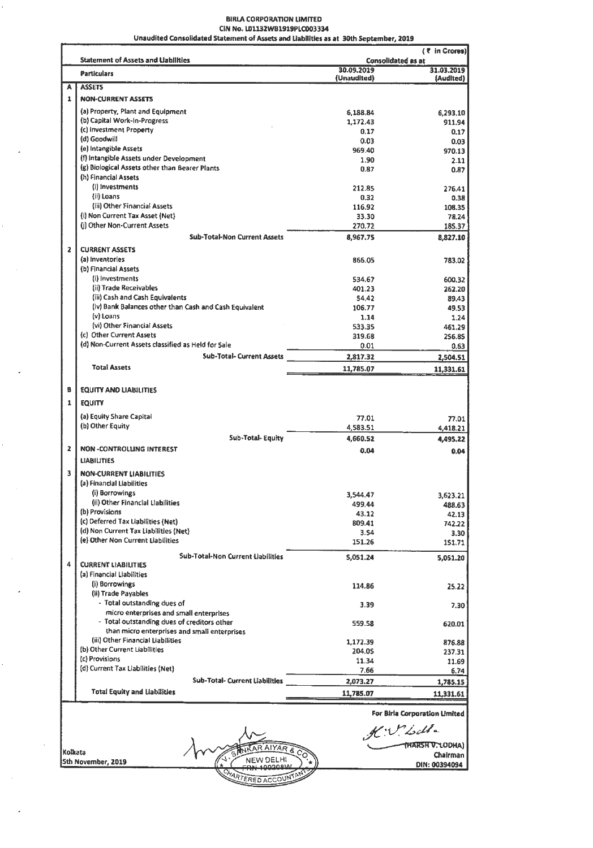#### 8IRLA CORPORATION LIMITED CIN No. LD1132W81919PLC003334 Unaudited Consolidated Statement of Assets and Uabllltles as at 30th September, 2019

|                   | <b>Statement of Assets and Uabilities</b>                                         | <b>Consolidated as at</b> | ( ₹ in Crores)                                                                     |
|-------------------|-----------------------------------------------------------------------------------|---------------------------|------------------------------------------------------------------------------------|
|                   | <b>Particulars</b>                                                                | 30.09.2019<br>(Unaudited) | 31.03.2019<br>(Audited)                                                            |
| A                 | <b>ASSETS</b>                                                                     |                           |                                                                                    |
| 1                 | <b>NON-CURRENT ASSETS</b>                                                         |                           |                                                                                    |
|                   | (a) Property, Plant and Equipment                                                 | 6,188.84                  | 6,293.10                                                                           |
|                   | (b) Capital Work-In-Progress                                                      | 1,172.43                  | 911.94                                                                             |
|                   | (c) Investment Property                                                           | 0.17                      | 0.17                                                                               |
|                   | (d) Goodwill                                                                      | 0.03                      | 0.03                                                                               |
|                   | (e) Intangible Assets                                                             | 969.40                    | 970.13                                                                             |
|                   | (f) intangible Assets under Development                                           | 1.90                      | 2.11                                                                               |
|                   | (g) Biological Assets other than Bearer Plants<br>(h) Financial Assets            | 0.87                      | 0.87                                                                               |
|                   | (i) Investments                                                                   |                           |                                                                                    |
|                   | (ii) Loans                                                                        | 212.85<br>0.32            | 276.41                                                                             |
|                   | (iii) Other Financial Assets                                                      | 116.92                    | 0.38                                                                               |
|                   | (i) Non Current Tax Asset (Net)                                                   | 33.30                     | 108.35<br>78.24                                                                    |
|                   | (j) Other Non-Current Assets                                                      | 270.72                    | 185.37                                                                             |
|                   | <b>Sub-Total-Non Current Assets</b>                                               | 8,967.75                  | 8,827.10                                                                           |
|                   |                                                                                   |                           |                                                                                    |
| $\overline{z}$    | <b>CURRENT ASSETS</b>                                                             |                           |                                                                                    |
|                   | (a) Inventories                                                                   | 866.05                    | 783.02                                                                             |
|                   | (b) Financial Assets                                                              |                           |                                                                                    |
|                   | (i) Investments<br>(ii) Trade Receivables                                         | 534.67                    | 600.32                                                                             |
|                   | (iii) Cash and Cash Equivalents                                                   | 401.23                    | 262.20                                                                             |
|                   | (iv) Bank Balances other than Cash and Cash Equivalent                            | 54.42<br>106.77           | 89.43                                                                              |
|                   | (v) Loans                                                                         | 1.14                      | 49.53<br>1.24                                                                      |
|                   | (vi) Other Financial Assets                                                       | 533.35                    | 461.29                                                                             |
|                   | (c) Other Current Assets                                                          | 319.68                    | 256.85                                                                             |
|                   | (d) Non-Current Assets classified as Held for Sale                                | 0.01                      | 0.63                                                                               |
|                   | <b>Sub-Total- Current Assets</b>                                                  | 2,817.32                  | 2,504.51                                                                           |
|                   | <b>Total Assets</b>                                                               |                           |                                                                                    |
|                   |                                                                                   | 11,785.07                 | 11,331.61                                                                          |
| B                 | <b>EQUITY AND LIABILITIES</b>                                                     |                           |                                                                                    |
| 1                 | <b>EQUITY</b>                                                                     |                           |                                                                                    |
|                   |                                                                                   |                           |                                                                                    |
|                   | (a) Equity Share Capital                                                          | 77.01                     | 77.01                                                                              |
|                   | (b) Other Equity                                                                  | 4,583.51                  | 4,418.21                                                                           |
|                   |                                                                                   |                           |                                                                                    |
|                   | Sub-Total-Equity                                                                  | 4,660.52                  |                                                                                    |
|                   | <b>NON-CONTROLLING INTEREST</b>                                                   |                           |                                                                                    |
|                   | <b>LIABILITIES</b>                                                                | 0.04                      | 0.04                                                                               |
|                   |                                                                                   |                           |                                                                                    |
|                   | <b>NON-CURRENT LIABILITIES</b>                                                    |                           |                                                                                    |
|                   | (a) Financial Liabilities                                                         |                           |                                                                                    |
|                   | (i) Borrowings                                                                    | 3,544.47                  | 3,623.21                                                                           |
|                   | (ii) Other Financial Liabilities                                                  | 499.44                    |                                                                                    |
|                   | (b) Provisions                                                                    | 43.12                     |                                                                                    |
|                   | (c) Deferred Tax Liabilities (Net)                                                | 809.41                    |                                                                                    |
|                   | (d) Non Current Tax Liabilities (Net)<br>(e) Other Non Current Liabilities        | 3.54                      |                                                                                    |
|                   |                                                                                   | 151.26                    | 151.71                                                                             |
|                   | Sub-Total-Non Current Liabilities                                                 | 5,051.24                  | 5,051.20                                                                           |
|                   | <b>CURRENT LIABILITIES</b>                                                        |                           |                                                                                    |
|                   | (a) Financial Liabilities                                                         |                           |                                                                                    |
|                   | (i) Borrowings                                                                    | 114.86                    | 25.22                                                                              |
|                   | (ii) Trade Payables                                                               |                           |                                                                                    |
|                   | - Total outstanding dues of                                                       | 3.39                      |                                                                                    |
|                   | micro enterprises and small enterprises                                           |                           |                                                                                    |
|                   | - Total outstanding dues of creditors other                                       | 559.58                    | 620.01                                                                             |
|                   | than micro enterprises and small enterprises<br>(iii) Other Financial Liabilities |                           |                                                                                    |
|                   | (b) Other Current Liabilities                                                     | 1,172.39                  |                                                                                    |
|                   | (c) Provisions                                                                    | 204.05                    |                                                                                    |
| 3                 | (d) Current Tax Liabilities (Net)                                                 | 11.34                     | 4,495.22<br>488.63<br>42.13<br>742.22<br>3.30<br>7,30<br>876.88<br>237.31<br>11.69 |
|                   |                                                                                   | 7.66                      | 6.74                                                                               |
| $\mathbf{z}$<br>4 | <b>Sub-Total- Current Liabilities</b><br><b>Total Equity and Liabilities</b>      | 2,073.27<br>11,785.07     | 1,785.15<br>11,331.61                                                              |

AIYAR & NEW DELHI

ERED ACCOUNT

٠,

K.V. Isdle  $\mathscr{H}$ :  $\mathcal{O}$   $\mathcal{L}$   $\mathcal{L}$   $\mathcal{L}$   $\mathcal{L}$   $\mathcal{L}$   $\mathcal{L}$   $\mathcal{L}$   $\mathcal{L}$   $\mathcal{L}$   $\mathcal{L}$   $\mathcal{L}$   $\mathcal{L}$   $\mathcal{L}$   $\mathcal{L}$   $\mathcal{L}$   $\mathcal{L}$   $\mathcal{L}$   $\mathcal{L}$   $\mathcal{L}$   $\mathcal{L}$   $\mathcal{L}$   $\mathcal{L}$   $\mathcal$ 

Chairman DIN: 00394094

Kolkata 5th November, 2019